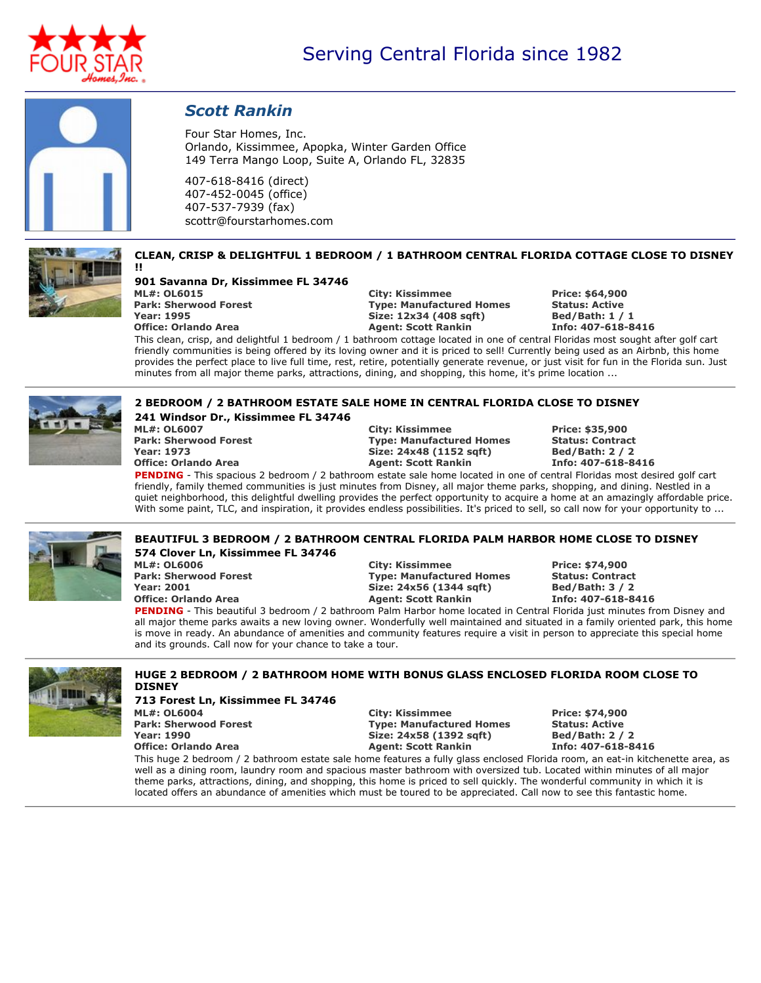



# *Scott Rankin*

**Four Star Homes, Inc. Orlando, Kissimmee, Apopka, Winter Garden Office 149 Terra Mango Loop, Suite A, Orlando FL, 32835**

**407-618-8416 (direct) 407-452-0045 (office) 407-537-7939 (fax) scottr@fourstarhomes.com**

## **CLEAN, CRISP & DELIGHTFUL 1 BEDROOM / 1 BATHROOM CENTRAL FLORIDA COTTAGE CLOSE TO DISNEY**

**!! 901 Savanna Dr, Kissimmee FL 34746 ML#: OL6015 City: Kissimmee Price: \$64,900 Year: 1995 Size: 12x34 (408 sqft) Bed/Bath: 1 / 1**

**Paramel <b>Fore: Manufactured Homes Office: Orlando Area Agent: Scott Rankin Info: 407-618-8416**

This clean, crisp, and delightful 1 bedroom / 1 bathroom cottage located in one of central Floridas most sought after golf cart friendly communities is being offered by its loving owner and it is priced to sell! Currently being used as an Airbnb, this home provides the perfect place to live full time, rest, retire, potentially generate revenue, or just visit for fun in the Florida sun. Just **minutes from all major theme parks, attractions, dining, and shopping, this home, it's prime location ...**



#### **2 BEDROOM / 2 BATHROOM ESTATE SALE HOME IN CENTRAL FLORIDA CLOSE TO DISNEY 241 Windsor Dr., Kissimmee FL 34746**

**ML#: OL6007 City: Kissimmee Price: \$35,900 Year: 1973 Size: 24x48 (1152 sqft) Bed/Bath: 2 / 2**

**Park: Sherwood Forest Type: Manufactured Homes Status: Contract Office: Orlando Area Agent: Scott Rankin Info: 407-618-8416**

PENDING - This spacious 2 bedroom / 2 bathroom estate sale home located in one of central Floridas most desired golf cart friendly, family themed communities is just minutes from Disney, all major theme parks, shopping, and dining. Nestled in a quiet neighborhood, this delightful dwelling provides the perfect opportunity to acquire a home at an amazingly affordable price. With some paint, TLC, and inspiration, it provides endless possibilities. It's priced to sell, so call now for your opportunity to ...



### **BEAUTIFUL 3 BEDROOM / 2 BATHROOM CENTRAL FLORIDA PALM HARBOR HOME CLOSE TO DISNEY 574 Clover Ln, Kissimmee FL 34746**

**ML#: OL6006 City: Kissimmee Price: \$74,900 Park: Sherwood Forest Type: Manufactured Homes Status: Contract Year: 2001 Size: 24x56 (1344 sqft) Bed/Bath: 3 / 2 Office: Orlando Area Agent: Scott Rankin Info: 407-618-8416**

PENDING - This beautiful 3 bedroom / 2 bathroom Palm Harbor home located in Central Florida just minutes from Disney and all major theme parks awaits a new loving owner. Wonderfully well maintained and situated in a family oriented park, this home is move in ready. An abundance of amenities and community features require a visit in person to appreciate this special home **and its grounds. Call now for your chance to take a tour.**



#### **HUGE 2 BEDROOM / 2 BATHROOM HOME WITH BONUS GLASS ENCLOSED FLORIDA ROOM CLOSE TO DISNEY**

**713 Forest Ln, Kissimmee FL 34746 ML#: OL6004 City: Kissimmee Price: \$74,900 Park: Sherwood Forest Type: Manufactured Homes Status: Active Year: 1990 Size: 24x58 (1392 sqft) Bed/Bath: 2 / 2 Office: Orlando Area Agent: Scott Rankin Info: 407-618-8416**

This huge 2 bedroom / 2 bathroom estate sale home features a fully glass enclosed Florida room, an eat-in kitchenette area, as well as a dining room, laundry room and spacious master bathroom with oversized tub. Located within minutes of all major theme parks, attractions, dining, and shopping, this home is priced to sell quickly. The wonderful community in which it is located offers an abundance of amenities which must be toured to be appreciated. Call now to see this fantastic home.